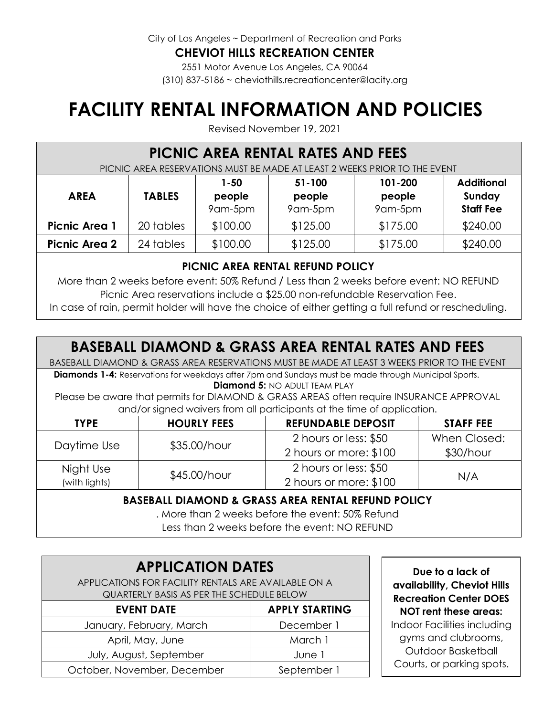City of Los Angeles ~ Department of Recreation and Parks

#### **CHEVIOT HILLS RECREATION CENTER**

2551 Motor Avenue Los Angeles, CA 90064 (310) 837-5186 ~ cheviothills.recreationcenter@lacity.org

# **FACILITY RENTAL INFORMATION AND POLICIES**

Revised November 19, 2021

### **PICNIC AREA RENTAL RATES AND FEES**

PICNIC AREA RESERVATIONS MUST BE MADE AT LEAST 2 WEEKS PRIOR TO THE EVENT

| <b>AREA</b>          | <b>TABLES</b> | 1-50<br>people<br>9am-5pm | $51 - 100$<br>people<br>9am-5pm | 101-200<br>people<br>9am-5pm | <b>Additional</b><br>Sunday<br><b>Staff Fee</b> |
|----------------------|---------------|---------------------------|---------------------------------|------------------------------|-------------------------------------------------|
| <b>Picnic Area 1</b> | 20 tables     | \$100.00                  | \$125.00                        | \$175.00                     | \$240.00                                        |
| <b>Picnic Area 2</b> | 24 tables     | \$100.00                  | \$125.00                        | \$175.00                     | \$240.00                                        |

#### **PICNIC AREA RENTAL REFUND POLICY**

More than 2 weeks before event: 50% Refund / Less than 2 weeks before event: NO REFUND Picnic Area reservations include a \$25.00 non-refundable Reservation Fee.

In case of rain, permit holder will have the choice of either getting a full refund or rescheduling.

## **BASEBALL DIAMOND & GRASS AREA RENTAL RATES AND FEES**

BASEBALL DIAMOND & GRASS AREA RESERVATIONS MUST BE MADE AT LEAST 3 WEEKS PRIOR TO THE EVENT

**Diamonds 1-4:** Reservations for weekdays after 7pm and Sundays must be made through Municipal Sports. **Diamond 5:** NO ADULT TEAM PLAY

Please be aware that permits for DIAMOND & GRASS AREAS often require INSURANCE APPROVAL and/or signed waivers from all participants at the time of application.

| <b>TYPE</b>   | <b>HOURLY FEES</b> | <b>REFUNDABLE DEPOSIT</b> | <b>STAFF FEE</b> |  |
|---------------|--------------------|---------------------------|------------------|--|
|               |                    | 2 hours or less: \$50     | When Closed:     |  |
| Daytime Use   | \$35.00/hour       | 2 hours or more: \$100    | $$30/h$ our      |  |
| Night Use     |                    | 2 hours or less: \$50     |                  |  |
| (with lights) | \$45.00/hour       | 2 hours or more: \$100    | N/A              |  |

#### **BASEBALL DIAMOND & GRASS AREA RENTAL REFUND POLICY**

. More than 2 weeks before the event: 50% Refund Less than 2 weeks before the event: NO REFUND

### **APPLICATION DATES** APPLICATIONS FOR FACILITY RENTALS ARE AVAILABLE ON A QUARTERLY BASIS AS PER THE SCHEDULE BELOW **EVENT DATE APPLY STARTING**

| January, February, March    | December 1  |  |
|-----------------------------|-------------|--|
| April, May, June            | March 1     |  |
| July, August, September     | June 1      |  |
| October, November, December | September 1 |  |

**Due to a lack of availability, Cheviot Hills Recreation Center DOES NOT rent these areas:** Indoor Facilities including gyms and clubrooms, Outdoor Basketball Courts, or parking spots.